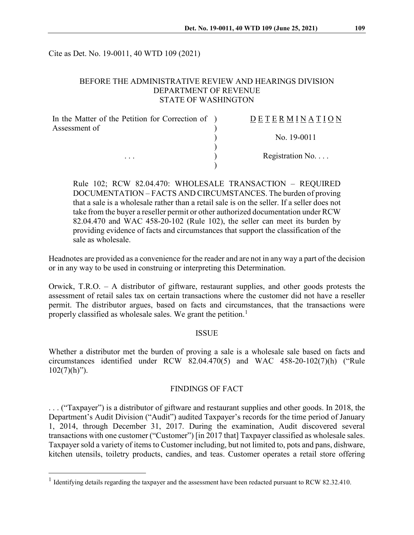Cite as Det. No. 19-0011, 40 WTD 109 (2021)

### BEFORE THE ADMINISTRATIVE REVIEW AND HEARINGS DIVISION DEPARTMENT OF REVENUE STATE OF WASHINGTON

| In the Matter of the Petition for Correction of ) | <b>DETERMINATION</b>     |
|---------------------------------------------------|--------------------------|
| Assessment of                                     |                          |
| $\cdot$                                           | No. $19-0011$            |
|                                                   |                          |
|                                                   | Registration No. $\dots$ |
|                                                   |                          |

Rule 102; RCW 82.04.470: WHOLESALE TRANSACTION – REQUIRED DOCUMENTATION – FACTS AND CIRCUMSTANCES. The burden of proving that a sale is a wholesale rather than a retail sale is on the seller. If a seller does not take from the buyer a reseller permit or other authorized documentation under RCW 82.04.470 and WAC 458-20-102 (Rule 102), the seller can meet its burden by providing evidence of facts and circumstances that support the classification of the sale as wholesale.

Headnotes are provided as a convenience for the reader and are not in any way a part of the decision or in any way to be used in construing or interpreting this Determination.

Orwick, T.R.O. – A distributor of giftware, restaurant supplies, and other goods protests the assessment of retail sales tax on certain transactions where the customer did not have a reseller permit. The distributor argues, based on facts and circumstances, that the transactions were properly classified as wholesale sales. We grant the petition.<sup>[1](#page-0-0)</sup>

#### ISSUE

Whether a distributor met the burden of proving a sale is a wholesale sale based on facts and circumstances identified under RCW 82.04.470(5) and WAC 458-20-102(7)(h) ("Rule  $102(7)(h)$ ").

### FINDINGS OF FACT

. . . ("Taxpayer") is a distributor of giftware and restaurant supplies and other goods. In 2018, the Department's Audit Division ("Audit") audited Taxpayer's records for the time period of January 1, 2014, through December 31, 2017. During the examination, Audit discovered several transactions with one customer ("Customer") [in 2017 that] Taxpayer classified as wholesale sales. Taxpayer sold a variety of items to Customer including, but not limited to, pots and pans, dishware, kitchen utensils, toiletry products, candies, and teas. Customer operates a retail store offering

<span id="page-0-0"></span><sup>&</sup>lt;sup>1</sup> Identifying details regarding the taxpayer and the assessment have been redacted pursuant to RCW 82.32.410.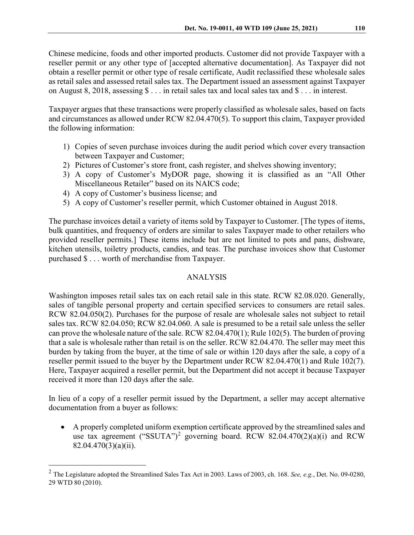Chinese medicine, foods and other imported products. Customer did not provide Taxpayer with a reseller permit or any other type of [accepted alternative documentation]. As Taxpayer did not obtain a reseller permit or other type of resale certificate, Audit reclassified these wholesale sales as retail sales and assessed retail sales tax. The Department issued an assessment against Taxpayer on August 8, 2018, assessing \$ . . . in retail sales tax and local sales tax and \$ . . . in interest.

Taxpayer argues that these transactions were properly classified as wholesale sales, based on facts and circumstances as allowed under RCW 82.04.470(5). To support this claim, Taxpayer provided the following information:

- 1) Copies of seven purchase invoices during the audit period which cover every transaction between Taxpayer and Customer;
- 2) Pictures of Customer's store front, cash register, and shelves showing inventory;
- 3) A copy of Customer's MyDOR page, showing it is classified as an "All Other Miscellaneous Retailer" based on its NAICS code;
- 4) A copy of Customer's business license; and
- 5) A copy of Customer's reseller permit, which Customer obtained in August 2018.

The purchase invoices detail a variety of items sold by Taxpayer to Customer. [The types of items, bulk quantities, and frequency of orders are similar to sales Taxpayer made to other retailers who provided reseller permits.] These items include but are not limited to pots and pans, dishware, kitchen utensils, toiletry products, candies, and teas. The purchase invoices show that Customer purchased \$ . . . worth of merchandise from Taxpayer.

## ANALYSIS

Washington imposes retail sales tax on each retail sale in this state. RCW 82.08.020. Generally, sales of tangible personal property and certain specified services to consumers are retail sales. RCW 82.04.050(2). Purchases for the purpose of resale are wholesale sales not subject to retail sales tax. RCW 82.04.050; RCW 82.04.060. A sale is presumed to be a retail sale unless the seller can prove the wholesale nature of the sale. RCW 82.04.470(1); Rule 102(5). The burden of proving that a sale is wholesale rather than retail is on the seller. RCW 82.04.470. The seller may meet this burden by taking from the buyer, at the time of sale or within 120 days after the sale, a copy of a reseller permit issued to the buyer by the Department under RCW 82.04.470(1) and Rule 102(7). Here, Taxpayer acquired a reseller permit, but the Department did not accept it because Taxpayer received it more than 120 days after the sale.

In lieu of a copy of a reseller permit issued by the Department, a seller may accept alternative documentation from a buyer as follows:

• A properly completed uniform exemption certificate approved by the streamlined sales and use tax agreement ("SSUTA")<sup>[2](#page-1-0)</sup> governing board. RCW 82.04.470(2)(a)(i) and RCW 82.04.470(3)(a)(ii).

<span id="page-1-0"></span> <sup>2</sup> The Legislature adopted the Streamlined Sales Tax Act in 2003. Laws of 2003, ch. 168. *See, e.g.*, Det. No. 09-0280, 29 WTD 80 (2010).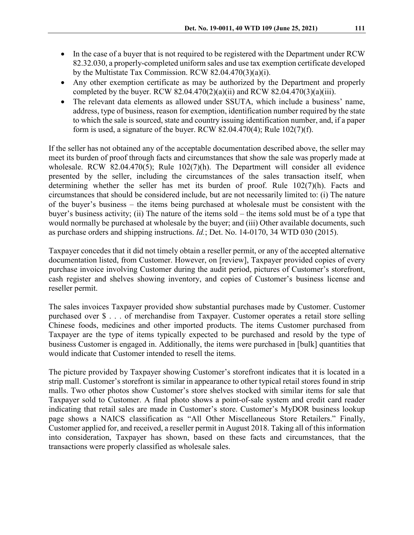- In the case of a buyer that is not required to be registered with the Department under RCW 82.32.030, a properly-completed uniform sales and use tax exemption certificate developed by the Multistate Tax Commission. RCW 82.04.470(3)(a)(i).
- Any other exemption certificate as may be authorized by the Department and properly completed by the buyer. RCW 82.04.470(2)(a)(ii) and RCW 82.04.470(3)(a)(iii).
- The relevant data elements as allowed under SSUTA, which include a business' name, address, type of business, reason for exemption, identification number required by the state to which the sale is sourced, state and country issuing identification number, and, if a paper form is used, a signature of the buyer. RCW 82.04.470(4); Rule  $102(7)(f)$ .

If the seller has not obtained any of the acceptable documentation described above, the seller may meet its burden of proof through facts and circumstances that show the sale was properly made at wholesale. RCW 82.04.470(5); Rule 102(7)(h). The Department will consider all evidence presented by the seller, including the circumstances of the sales transaction itself, when determining whether the seller has met its burden of proof. Rule 102(7)(h). Facts and circumstances that should be considered include, but are not necessarily limited to: (i) The nature of the buyer's business – the items being purchased at wholesale must be consistent with the buyer's business activity; (ii) The nature of the items sold – the items sold must be of a type that would normally be purchased at wholesale by the buyer; and (iii) Other available documents, such as purchase orders and shipping instructions. *Id.*; Det. No. 14-0170, 34 WTD 030 (2015).

Taxpayer concedes that it did not timely obtain a reseller permit, or any of the accepted alternative documentation listed, from Customer. However, on [review], Taxpayer provided copies of every purchase invoice involving Customer during the audit period, pictures of Customer's storefront, cash register and shelves showing inventory, and copies of Customer's business license and reseller permit.

The sales invoices Taxpayer provided show substantial purchases made by Customer. Customer purchased over \$ . . . of merchandise from Taxpayer. Customer operates a retail store selling Chinese foods, medicines and other imported products. The items Customer purchased from Taxpayer are the type of items typically expected to be purchased and resold by the type of business Customer is engaged in. Additionally, the items were purchased in [bulk] quantities that would indicate that Customer intended to resell the items.

The picture provided by Taxpayer showing Customer's storefront indicates that it is located in a strip mall. Customer's storefront is similar in appearance to other typical retail stores found in strip malls. Two other photos show Customer's store shelves stocked with similar items for sale that Taxpayer sold to Customer. A final photo shows a point-of-sale system and credit card reader indicating that retail sales are made in Customer's store. Customer's MyDOR business lookup page shows a NAICS classification as "All Other Miscellaneous Store Retailers." Finally, Customer applied for, and received, a reseller permit in August 2018. Taking all of this information into consideration, Taxpayer has shown, based on these facts and circumstances, that the transactions were properly classified as wholesale sales.